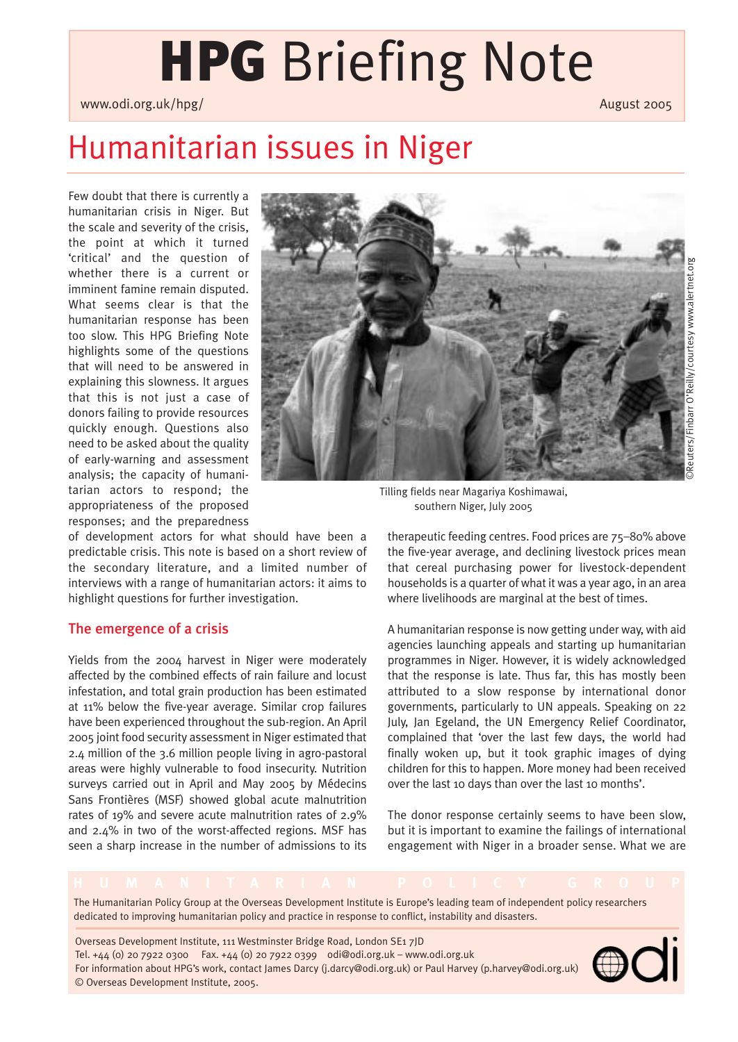# **HPG** Briefing Note

www.odi.org.uk/hpg/ August 2005 Number 2006 Number 2006 Number 2006 Number 2006 Number 2006 Number 2006 Number 2006

## Humanitarian issues in Niger

Few doubt that there is currently a humanitarian crisis in Niger. But the scale and severity of the crisis, the point at which it turned 'critical' and the question of whether there is a current or imminent famine remain disputed. What seems clear is that the humanitarian response has been too slow. This HPG Briefing Note highlights some of the questions that will need to be answered in explaining this slowness. It argues that this is not just a case of donors failing to provide resources quickly enough. Questions also need to be asked about the quality of early-warning and assessment analysis; the capacity of humanitarian actors to respond; the appropriateness of the proposed responses; and the preparedness



Tilling fields near Magariya Koshimawai, southern Niger, July 2005

of development actors for what should have been a predictable crisis. This note is based on a short review of the secondary literature, and a limited number of interviews with a range of humanitarian actors: it aims to highlight questions for further investigation.

### The emergence of a crisis

Yields from the 2004 harvest in Niger were moderately affected by the combined effects of rain failure and locust infestation, and total grain production has been estimated at 11% below the five-year average. Similar crop failures have been experienced throughout the sub-region. An April 2005 joint food security assessment in Niger estimated that 2.4 million of the 3.6 million people living in agro-pastoral areas were highly vulnerable to food insecurity. Nutrition surveys carried out in April and May 2005 by Médecins Sans Frontières (MSF) showed global acute malnutrition rates of 19% and severe acute malnutrition rates of 2.9% and 2.4% in two of the worst-affected regions. MSF has seen a sharp increase in the number of admissions to its

therapeutic feeding centres. Food prices are 75–80% above the five-year average, and declining livestock prices mean that cereal purchasing power for livestock-dependent households is a quarter of what it was a year ago, in an area where livelihoods are marginal at the best of times.

A humanitarian response is now getting under way, with aid agencies launching appeals and starting up humanitarian programmes in Niger. However, it is widely acknowledged that the response is late. Thus far, this has mostly been attributed to a slow response by international donor governments, particularly to UN appeals. Speaking on 22 July, Jan Egeland, the UN Emergency Relief Coordinator, complained that 'over the last few days, the world had finally woken up, but it took graphic images of dying children for this to happen. More money had been received over the last 10 days than over the last 10 months'.

The donor response certainly seems to have been slow, but it is important to examine the failings of international engagement with Niger in a broader sense. What we are

The Humanitarian Policy Group at the Overseas Development Institute is Europe's leading team of independent policy researchers dedicated to improving humanitarian policy and practice in response to conflict, instability and disasters.

Overseas Development Institute, 111 Westminster Bridge Road, London SE1 7JD Tel. +44 (0) 20 7922 0300 Fax. +44 (0) 20 7922 0399 odi@odi.org.uk – www.odi.org.uk For information about HPG's work, contact James Darcy (j.darcy@odi.org.uk) or Paul Harvey (p.harvey@odi.org.uk) © Overseas Development Institute, 2005.

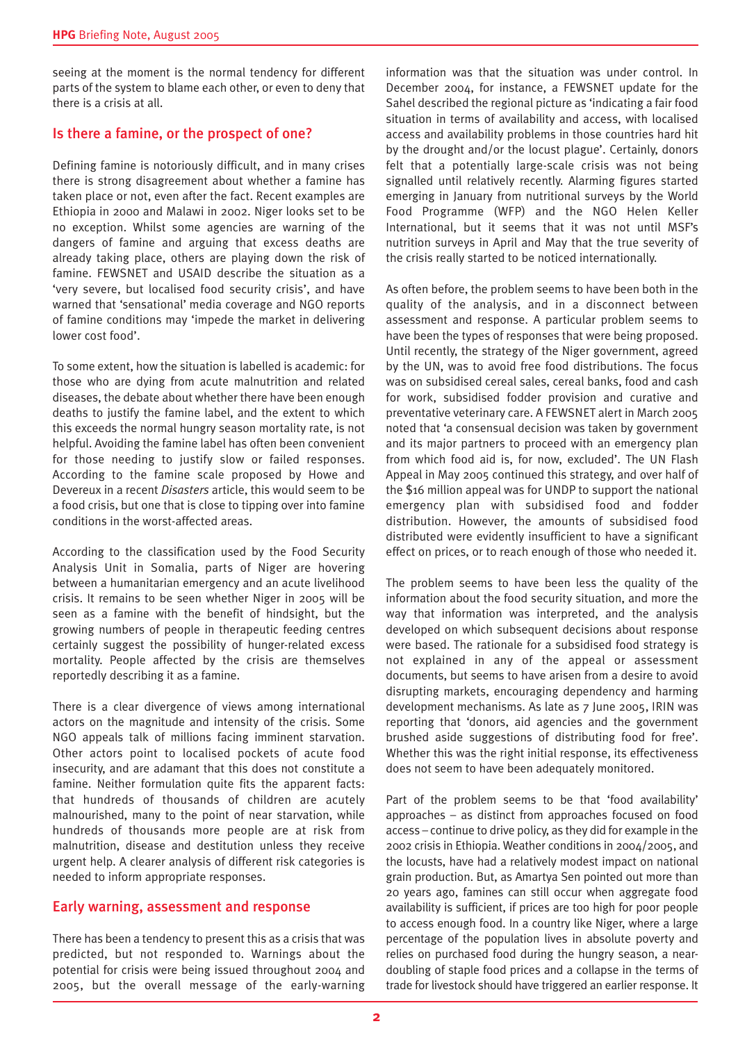seeing at the moment is the normal tendency for different parts of the system to blame each other, or even to deny that there is a crisis at all.

#### Is there a famine, or the prospect of one?

Defining famine is notoriously difficult, and in many crises there is strong disagreement about whether a famine has taken place or not, even after the fact. Recent examples are Ethiopia in 2000 and Malawi in 2002. Niger looks set to be no exception. Whilst some agencies are warning of the dangers of famine and arguing that excess deaths are already taking place, others are playing down the risk of famine. FEWSNET and USAID describe the situation as a 'very severe, but localised food security crisis', and have warned that 'sensational' media coverage and NGO reports of famine conditions may 'impede the market in delivering lower cost food'.

To some extent, how the situation is labelled is academic: for those who are dying from acute malnutrition and related diseases, the debate about whether there have been enough deaths to justify the famine label, and the extent to which this exceeds the normal hungry season mortality rate, is not helpful. Avoiding the famine label has often been convenient for those needing to justify slow or failed responses. According to the famine scale proposed by Howe and Devereux in a recent *Disasters* article, this would seem to be a food crisis, but one that is close to tipping over into famine conditions in the worst-affected areas.

According to the classification used by the Food Security Analysis Unit in Somalia, parts of Niger are hovering between a humanitarian emergency and an acute livelihood crisis. It remains to be seen whether Niger in 2005 will be seen as a famine with the benefit of hindsight, but the growing numbers of people in therapeutic feeding centres certainly suggest the possibility of hunger-related excess mortality. People affected by the crisis are themselves reportedly describing it as a famine.

There is a clear divergence of views among international actors on the magnitude and intensity of the crisis. Some NGO appeals talk of millions facing imminent starvation. Other actors point to localised pockets of acute food insecurity, and are adamant that this does not constitute a famine. Neither formulation quite fits the apparent facts: that hundreds of thousands of children are acutely malnourished, many to the point of near starvation, while hundreds of thousands more people are at risk from malnutrition, disease and destitution unless they receive urgent help. A clearer analysis of different risk categories is needed to inform appropriate responses.

#### Early warning, assessment and response

There has been a tendency to present this as a crisis that was predicted, but not responded to. Warnings about the potential for crisis were being issued throughout 2004 and 2005, but the overall message of the early-warning

information was that the situation was under control. In December 2004, for instance, a FEWSNET update for the Sahel described the regional picture as 'indicating a fair food situation in terms of availability and access, with localised access and availability problems in those countries hard hit by the drought and/or the locust plague'. Certainly, donors felt that a potentially large-scale crisis was not being signalled until relatively recently. Alarming figures started emerging in January from nutritional surveys by the World Food Programme (WFP) and the NGO Helen Keller International, but it seems that it was not until MSF's nutrition surveys in April and May that the true severity of the crisis really started to be noticed internationally.

As often before, the problem seems to have been both in the quality of the analysis, and in a disconnect between assessment and response. A particular problem seems to have been the types of responses that were being proposed. Until recently, the strategy of the Niger government, agreed by the UN, was to avoid free food distributions. The focus was on subsidised cereal sales, cereal banks, food and cash for work, subsidised fodder provision and curative and preventative veterinary care. A FEWSNET alert in March 2005 noted that 'a consensual decision was taken by government and its major partners to proceed with an emergency plan from which food aid is, for now, excluded'. The UN Flash Appeal in May 2005 continued this strategy, and over half of the \$16 million appeal was for UNDP to support the national emergency plan with subsidised food and fodder distribution. However, the amounts of subsidised food distributed were evidently insufficient to have a significant effect on prices, or to reach enough of those who needed it.

The problem seems to have been less the quality of the information about the food security situation, and more the way that information was interpreted, and the analysis developed on which subsequent decisions about response were based. The rationale for a subsidised food strategy is not explained in any of the appeal or assessment documents, but seems to have arisen from a desire to avoid disrupting markets, encouraging dependency and harming development mechanisms. As late as 7 June 2005, IRIN was reporting that 'donors, aid agencies and the government brushed aside suggestions of distributing food for free'. Whether this was the right initial response, its effectiveness does not seem to have been adequately monitored.

Part of the problem seems to be that 'food availability' approaches – as distinct from approaches focused on food access – continue to drive policy, as they did for example in the 2002 crisis in Ethiopia. Weather conditions in 2004/2005, and the locusts, have had a relatively modest impact on national grain production. But, as Amartya Sen pointed out more than 20 years ago, famines can still occur when aggregate food availability is sufficient, if prices are too high for poor people to access enough food. In a country like Niger, where a large percentage of the population lives in absolute poverty and relies on purchased food during the hungry season, a neardoubling of staple food prices and a collapse in the terms of trade for livestock should have triggered an earlier response. It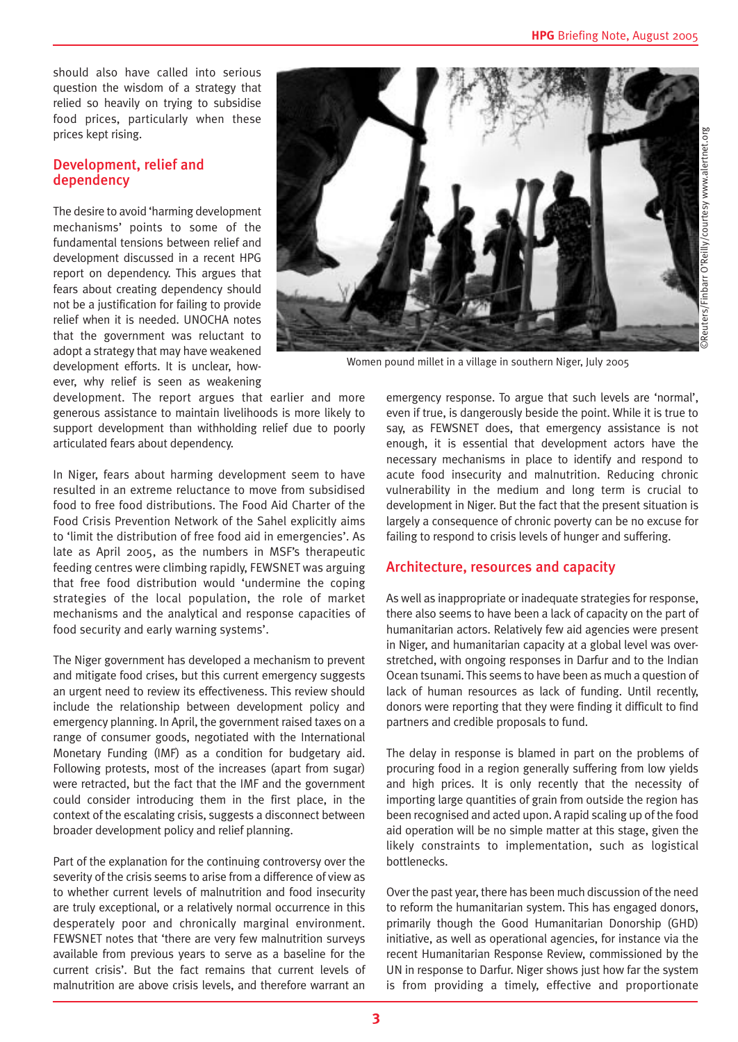should also have called into serious question the wisdom of a strategy that relied so heavily on trying to subsidise food prices, particularly when these prices kept rising.

#### Development, relief and dependency

The desire to avoid 'harming development mechanisms' points to some of the fundamental tensions between relief and development discussed in a recent HPG report on dependency. This argues that fears about creating dependency should not be a justification for failing to provide relief when it is needed. UNOCHA notes that the government was reluctant to adopt a strategy that may have weakened development efforts. It is unclear, however, why relief is seen as weakening

development. The report argues that earlier and more generous assistance to maintain livelihoods is more likely to support development than withholding relief due to poorly articulated fears about dependency.

In Niger, fears about harming development seem to have resulted in an extreme reluctance to move from subsidised food to free food distributions. The Food Aid Charter of the Food Crisis Prevention Network of the Sahel explicitly aims to 'limit the distribution of free food aid in emergencies'. As late as April 2005, as the numbers in MSF's therapeutic feeding centres were climbing rapidly, FEWSNET was arguing that free food distribution would 'undermine the coping strategies of the local population, the role of market mechanisms and the analytical and response capacities of food security and early warning systems'.

The Niger government has developed a mechanism to prevent and mitigate food crises, but this current emergency suggests an urgent need to review its effectiveness. This review should include the relationship between development policy and emergency planning. In April, the government raised taxes on a range of consumer goods, negotiated with the International Monetary Funding (IMF) as a condition for budgetary aid. Following protests, most of the increases (apart from sugar) were retracted, but the fact that the IMF and the government could consider introducing them in the first place, in the context of the escalating crisis, suggests a disconnect between broader development policy and relief planning.

Part of the explanation for the continuing controversy over the severity of the crisis seems to arise from a difference of view as to whether current levels of malnutrition and food insecurity are truly exceptional, or a relatively normal occurrence in this desperately poor and chronically marginal environment. FEWSNET notes that 'there are very few malnutrition surveys available from previous years to serve as a baseline for the current crisis'. But the fact remains that current levels of malnutrition are above crisis levels, and therefore warrant an



Women pound millet in a village in southern Niger, July 2005

emergency response. To argue that such levels are 'normal', even if true, is dangerously beside the point. While it is true to say, as FEWSNET does, that emergency assistance is not enough, it is essential that development actors have the necessary mechanisms in place to identify and respond to acute food insecurity and malnutrition. Reducing chronic vulnerability in the medium and long term is crucial to development in Niger. But the fact that the present situation is largely a consequence of chronic poverty can be no excuse for failing to respond to crisis levels of hunger and suffering.

### Architecture, resources and capacity

As well as inappropriate or inadequate strategies for response, there also seems to have been a lack of capacity on the part of humanitarian actors. Relatively few aid agencies were present in Niger, and humanitarian capacity at a global level was overstretched, with ongoing responses in Darfur and to the Indian Ocean tsunami. This seems to have been as much a question of lack of human resources as lack of funding. Until recently, donors were reporting that they were finding it difficult to find partners and credible proposals to fund.

The delay in response is blamed in part on the problems of procuring food in a region generally suffering from low yields and high prices. It is only recently that the necessity of importing large quantities of grain from outside the region has been recognised and acted upon. A rapid scaling up of the food aid operation will be no simple matter at this stage, given the likely constraints to implementation, such as logistical bottlenecks.

Over the past year, there has been much discussion of the need to reform the humanitarian system. This has engaged donors, primarily though the Good Humanitarian Donorship (GHD) initiative, as well as operational agencies, for instance via the recent Humanitarian Response Review, commissioned by the UN in response to Darfur. Niger shows just how far the system is from providing a timely, effective and proportionate